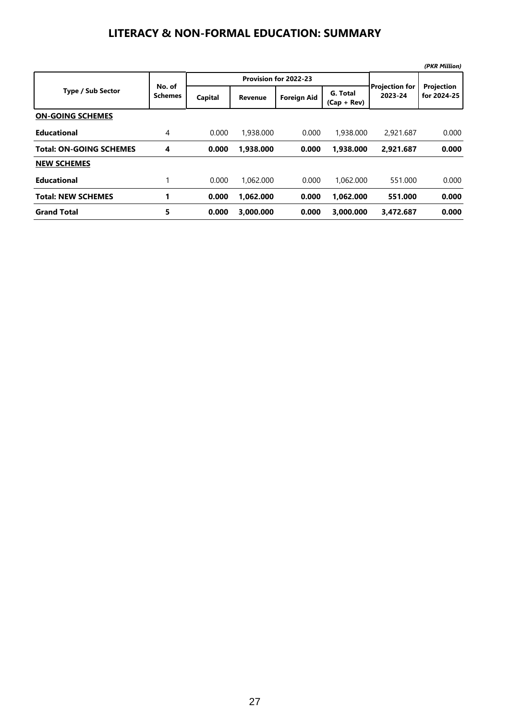## **LITERACY & NON-FORMAL EDUCATION: SUMMARY**

|                                |                          |         |                       |                    |                           |                                  | (PKR Million)             |
|--------------------------------|--------------------------|---------|-----------------------|--------------------|---------------------------|----------------------------------|---------------------------|
| <b>Type / Sub Sector</b>       | No. of<br><b>Schemes</b> |         | Provision for 2022-23 |                    |                           |                                  |                           |
|                                |                          | Capital | <b>Revenue</b>        | <b>Foreign Aid</b> | G. Total<br>$(Cap + Rev)$ | <b>Projection for</b><br>2023-24 | Projection<br>for 2024-25 |
| <b>ON-GOING SCHEMES</b>        |                          |         |                       |                    |                           |                                  |                           |
| <b>Educational</b>             | $\overline{4}$           | 0.000   | 1,938,000             | 0.000              | 1,938,000                 | 2,921,687                        | 0.000                     |
| <b>Total: ON-GOING SCHEMES</b> | 4                        | 0.000   | 1,938.000             | 0.000              | 1,938.000                 | 2,921.687                        | 0.000                     |
| <b>NEW SCHEMES</b>             |                          |         |                       |                    |                           |                                  |                           |
| <b>Educational</b>             |                          | 0.000   | 1.062.000             | 0.000              | 1.062.000                 | 551.000                          | 0.000                     |
| <b>Total: NEW SCHEMES</b>      |                          | 0.000   | 1.062.000             | 0.000              | 1.062.000                 | 551.000                          | 0.000                     |
| <b>Grand Total</b>             | 5                        | 0.000   | 3.000.000             | 0.000              | 3.000.000                 | 3.472.687                        | 0.000                     |